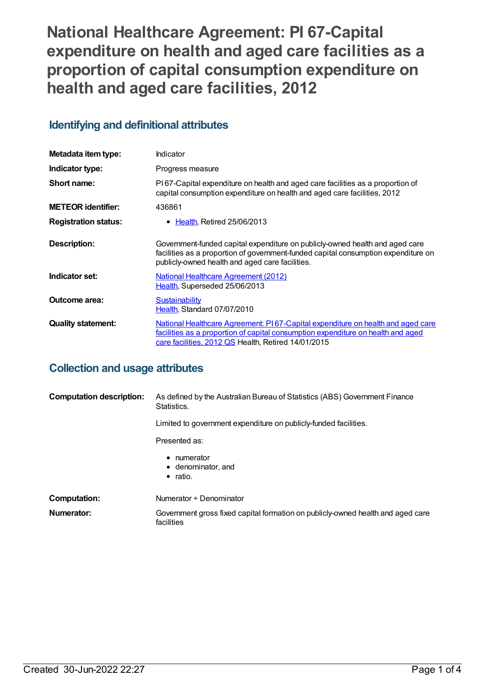**National Healthcare Agreement: PI 67-Capital expenditure on health and aged care facilities as a proportion of capital consumption expenditure on health and aged care facilities, 2012**

## **Identifying and definitional attributes**

| Metadata item type:         | Indicator                                                                                                                                                                                                                  |
|-----------------------------|----------------------------------------------------------------------------------------------------------------------------------------------------------------------------------------------------------------------------|
| Indicator type:             | Progress measure                                                                                                                                                                                                           |
| Short name:                 | PI67-Capital expenditure on health and aged care facilities as a proportion of<br>capital consumption expenditure on health and aged care facilities, 2012                                                                 |
| <b>METEOR identifier:</b>   | 436861                                                                                                                                                                                                                     |
| <b>Registration status:</b> | $\bullet$ Health, Retired 25/06/2013                                                                                                                                                                                       |
| Description:                | Government-funded capital expenditure on publicly-owned health and aged care<br>facilities as a proportion of government-funded capital consumption expenditure on<br>publicly-owned health and aged care facilities.      |
| Indicator set:              | National Healthcare Agreement (2012)<br>Health, Superseded 25/06/2013                                                                                                                                                      |
| Outcome area:               | Sustainability<br>Health, Standard 07/07/2010                                                                                                                                                                              |
| <b>Quality statement:</b>   | National Healthcare Agreement: PI67-Capital expenditure on health and aged care<br>facilities as a proportion of capital consumption expenditure on health and aged<br>care facilities, 2012 QS Health, Retired 14/01/2015 |

### **Collection and usage attributes**

| <b>Computation description:</b>                                                                                                                    | As defined by the Australian Bureau of Statistics (ABS) Government Finance<br>Statistics.     |
|----------------------------------------------------------------------------------------------------------------------------------------------------|-----------------------------------------------------------------------------------------------|
| Limited to government expenditure on publicly-funded facilities.<br>Presented as:<br>• numerator<br>$\bullet$ denominator, and<br>$\bullet$ ratio. |                                                                                               |
|                                                                                                                                                    |                                                                                               |
|                                                                                                                                                    |                                                                                               |
| <b>Computation:</b>                                                                                                                                | Numerator + Denominator                                                                       |
| Numerator:                                                                                                                                         | Government gross fixed capital formation on publicly-owned health and aged care<br>facilities |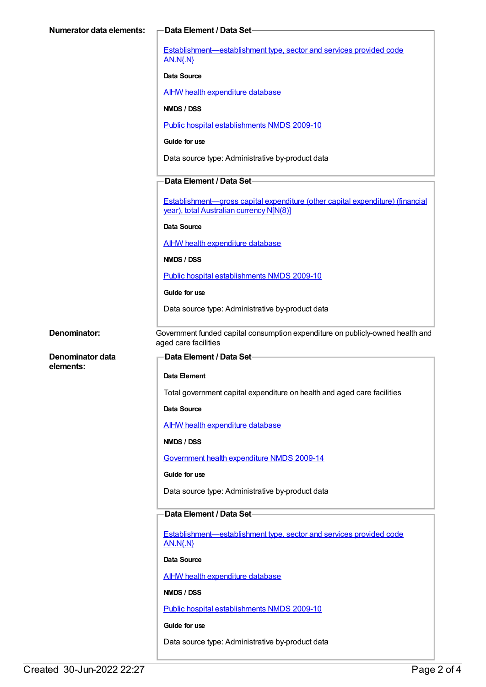| <b>Numerator data elements:</b>      | -Data Element / Data Set-                                                                                                  |
|--------------------------------------|----------------------------------------------------------------------------------------------------------------------------|
|                                      | Establishment-establishment type, sector and services provided code<br><b>AN.N{.N}</b>                                     |
|                                      | <b>Data Source</b>                                                                                                         |
|                                      | <b>AIHW health expenditure database</b>                                                                                    |
|                                      | <b>NMDS / DSS</b>                                                                                                          |
|                                      | Public hospital establishments NMDS 2009-10                                                                                |
|                                      | Guide for use                                                                                                              |
|                                      | Data source type: Administrative by-product data                                                                           |
|                                      | Data Element / Data Set-                                                                                                   |
|                                      | Establishment—gross capital expenditure (other capital expenditure) (financial<br>year), total Australian currency N[N(8)] |
|                                      | <b>Data Source</b>                                                                                                         |
|                                      | <b>AIHW health expenditure database</b>                                                                                    |
|                                      | NMDS / DSS                                                                                                                 |
|                                      | Public hospital establishments NMDS 2009-10                                                                                |
|                                      | Guide for use                                                                                                              |
|                                      | Data source type: Administrative by-product data                                                                           |
| Denominator:                         | Government funded capital consumption expenditure on publicly-owned health and                                             |
|                                      | aged care facilities                                                                                                       |
| <b>Denominator data</b><br>elements: | Data Element / Data Set-                                                                                                   |
|                                      | Data Element                                                                                                               |
|                                      | Total government capital expenditure on health and aged care facilities                                                    |
|                                      | Data Source                                                                                                                |
|                                      | <b>AIHW health expenditure database</b>                                                                                    |
|                                      | NMDS / DSS                                                                                                                 |
|                                      | Government health expenditure NMDS 2009-14                                                                                 |
|                                      | Guide for use                                                                                                              |
|                                      | Data source type: Administrative by-product data                                                                           |
|                                      | Data Element / Data Set-                                                                                                   |
|                                      | Establishment-establishment type, sector and services provided code                                                        |
|                                      | <b>AN.N{.N}</b>                                                                                                            |
|                                      | Data Source                                                                                                                |
|                                      | <b>AIHW health expenditure database</b>                                                                                    |
|                                      | NMDS / DSS                                                                                                                 |
|                                      | Public hospital establishments NMDS 2009-10                                                                                |
|                                      | Guide for use                                                                                                              |
|                                      | Data source type: Administrative by-product data                                                                           |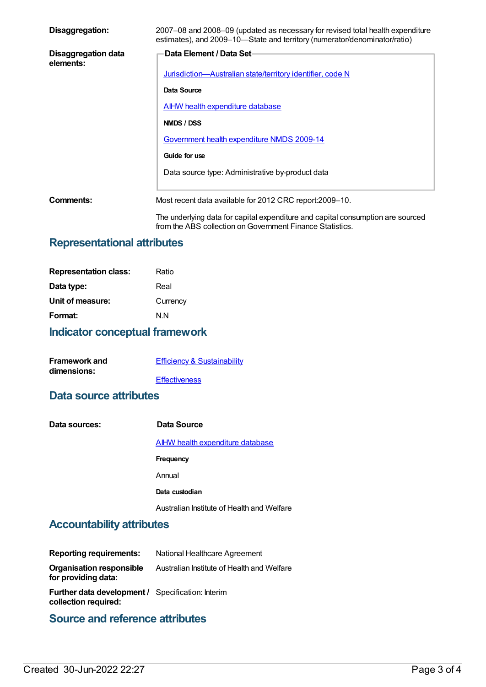| Disaggregation:                  | 2007–08 and 2008–09 (updated as necessary for revised total health expenditure<br>estimates), and 2009–10–State and territory (numerator/denominator/ratio) |
|----------------------------------|-------------------------------------------------------------------------------------------------------------------------------------------------------------|
| Disaggregation data<br>elements: | Data Element / Data Set-                                                                                                                                    |
|                                  | Jurisdiction-Australian state/territory identifier, code N                                                                                                  |
|                                  | Data Source                                                                                                                                                 |
|                                  | <b>AIHW health expenditure database</b>                                                                                                                     |
|                                  | NMDS / DSS                                                                                                                                                  |
|                                  | Government health expenditure NMDS 2009-14                                                                                                                  |
|                                  | Guide for use                                                                                                                                               |
|                                  | Data source type: Administrative by-product data                                                                                                            |
| Comments:                        | Most recent data available for 2012 CRC report:2009–10.                                                                                                     |
|                                  | The underlying data for capital expenditure and capital consumption are sourced<br>from the ABS collection on Government Finance Statistics.                |

# **Representational attributes**

| Ratio    |
|----------|
| Real     |
| Currency |
| N N      |
|          |

# **Indicator conceptual framework**

| <b>Framework and</b> | <b>Efficiency &amp; Sustainability</b> |
|----------------------|----------------------------------------|
| dimensions:          |                                        |
|                      | <b>Effectiveness</b>                   |

#### **Data source attributes**

| Data sources: | Data Source                                |
|---------------|--------------------------------------------|
|               | <b>AIHW health expenditure database</b>    |
|               | Frequency                                  |
|               | Annual                                     |
|               | Data custodian                             |
|               | Australian Institute of Health and Welfare |

### **Accountability attributes**

| <b>Reporting requirements:</b>                           | National Healthcare Agreement              |
|----------------------------------------------------------|--------------------------------------------|
| <b>Organisation responsible</b><br>for providing data:   | Australian Institute of Health and Welfare |
| <b>Further data development / Specification: Interim</b> |                                            |

**collection required:**

# **Source and reference attributes**